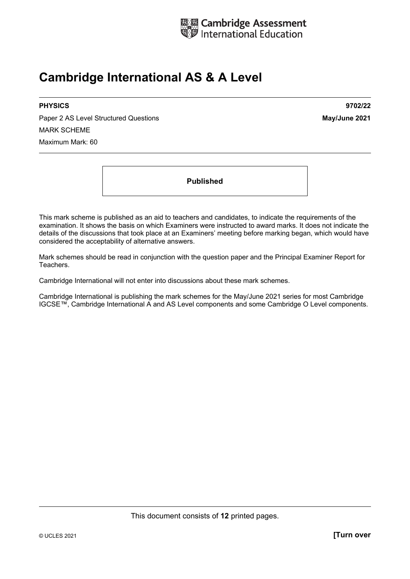

# **Cambridge International AS & A Level**

Paper 2 AS Level Structured Questions **May/June 2021** MARK SCHEME Maximum Mark: 60

**PHYSICS 9702/22** 

**Published** 

This mark scheme is published as an aid to teachers and candidates, to indicate the requirements of the examination. It shows the basis on which Examiners were instructed to award marks. It does not indicate the details of the discussions that took place at an Examiners' meeting before marking began, which would have considered the acceptability of alternative answers.

Mark schemes should be read in conjunction with the question paper and the Principal Examiner Report for Teachers.

Cambridge International will not enter into discussions about these mark schemes.

Cambridge International is publishing the mark schemes for the May/June 2021 series for most Cambridge IGCSE™, Cambridge International A and AS Level components and some Cambridge O Level components.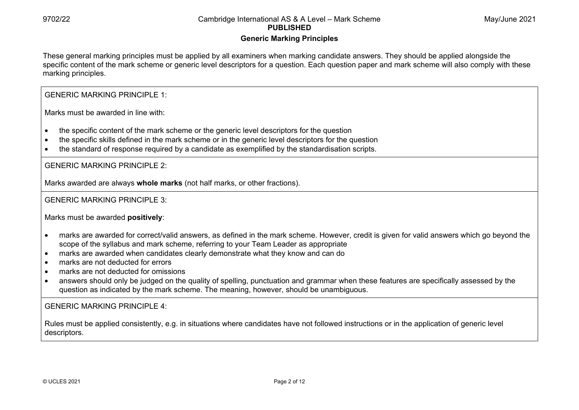# **Generic Marking Principles**

These general marking principles must be applied by all examiners when marking candidate answers. They should be applied alongside the specific content of the mark scheme or generic level descriptors for a question. Each question paper and mark scheme will also comply with these marking principles.

GENERIC MARKING PRINCIPLE 1:

Marks must be awarded in line with:

- the specific content of the mark scheme or the generic level descriptors for the question
- the specific skills defined in the mark scheme or in the generic level descriptors for the question
- the standard of response required by a candidate as exemplified by the standardisation scripts.

GENERIC MARKING PRINCIPLE 2:

Marks awarded are always **whole marks** (not half marks, or other fractions).

GENERIC MARKING PRINCIPLE 3:

Marks must be awarded **positively**:

- marks are awarded for correct/valid answers, as defined in the mark scheme. However, credit is given for valid answers which go beyond the scope of the syllabus and mark scheme, referring to your Team Leader as appropriate
- marks are awarded when candidates clearly demonstrate what they know and can do
- marks are not deducted for errors
- marks are not deducted for omissions
- answers should only be judged on the quality of spelling, punctuation and grammar when these features are specifically assessed by the question as indicated by the mark scheme. The meaning, however, should be unambiguous.

GENERIC MARKING PRINCIPLE  $4<sup>T</sup>$ 

Rules must be applied consistently, e.g. in situations where candidates have not followed instructions or in the application of generic level descriptors.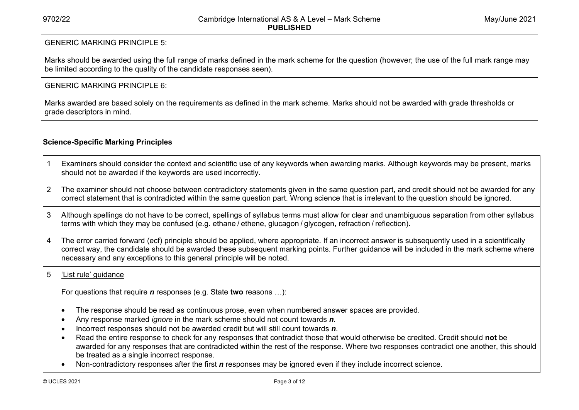# GENERIC MARKING PRINCIPLE 5:

Marks should be awarded using the full range of marks defined in the mark scheme for the question (however; the use of the full mark range may be limited according to the quality of the candidate responses seen).

# GENERIC MARKING PRINCIPLE 6:

Marks awarded are based solely on the requirements as defined in the mark scheme. Marks should not be awarded with grade thresholds or grade descriptors in mind.

# **Science-Specific Marking Principles**

- 1 Examiners should consider the context and scientific use of any keywords when awarding marks. Although keywords may be present, marks should not be awarded if the keywords are used incorrectly.
- 2 The examiner should not choose between contradictory statements given in the same question part, and credit should not be awarded for any correct statement that is contradicted within the same question part. Wrong science that is irrelevant to the question should be ignored.
- 3 Although spellings do not have to be correct, spellings of syllabus terms must allow for clear and unambiguous separation from other syllabus terms with which they may be confused (e.g. ethane / ethene, glucagon / glycogen, refraction / reflection).
- 4 The error carried forward (ecf) principle should be applied, where appropriate. If an incorrect answer is subsequently used in a scientifically correct way, the candidate should be awarded these subsequent marking points. Further guidance will be included in the mark scheme where necessary and any exceptions to this general principle will be noted.

#### 5 'List rule' guidance

For questions that require *<sup>n</sup>* responses (e.g. State **two** reasons …):

- The response should be read as continuous prose, even when numbered answer spaces are provided.
- Any response marked *ignore* in the mark scheme should not count towards *n*.
- Incorrect responses should not be awarded credit but will still count towards *n*.
- Read the entire response to check for any responses that contradict those that would otherwise be credited. Credit should **not** be awarded for any responses that are contradicted within the rest of the response. Where two responses contradict one another, this should be treated as a single incorrect response.
- Non-contradictory responses after the first *n* responses may be ignored even if they include incorrect science.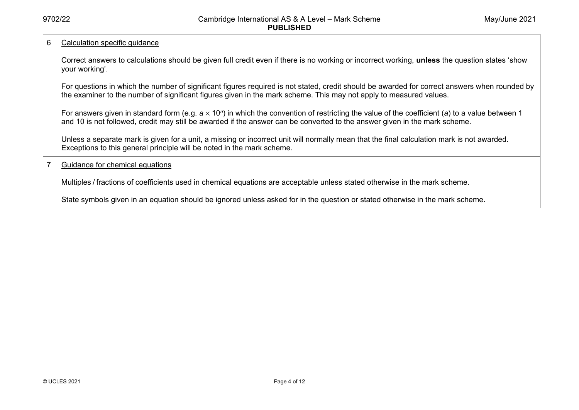#### 6 Calculation specific guidance

Correct answers to calculations should be given full credit even if there is no working or incorrect working, **unless** the question states 'show your working'.

For questions in which the number of significant figures required is not stated, credit should be awarded for correct answers when rounded by the examiner to the number of significant figures given in the mark scheme. This may not apply to measured values.

For answers given in standard form (e.g. *a* × 10<sup>*n*</sup>) in which the convention of restricting the value of the coefficient (*a*) to a value between 1 and 10 is not followed, credit may still be awarded if the answer can be converted to the answer given in the mark scheme.

Unless a separate mark is given for a unit, a missing or incorrect unit will normally mean that the final calculation mark is not awarded. Exceptions to this general principle will be noted in the mark scheme.

#### 7 Guidance for chemical equations

Multiples / fractions of coefficients used in chemical equations are acceptable unless stated otherwise in the mark scheme.

State symbols given in an equation should be ignored unless asked for in the question or stated otherwise in the mark scheme.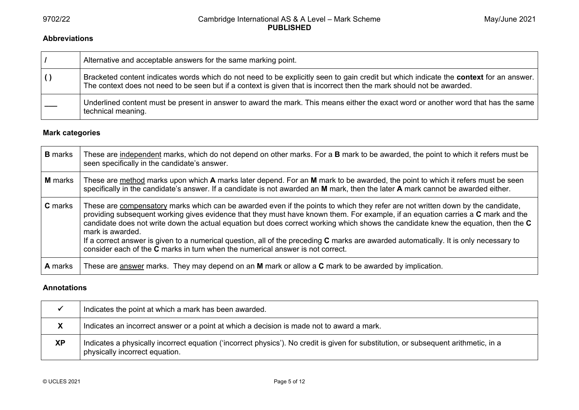#### **Abbreviations**

| Alternative and acceptable answers for the same marking point.                                                                                                                                                                                                  |
|-----------------------------------------------------------------------------------------------------------------------------------------------------------------------------------------------------------------------------------------------------------------|
| Bracketed content indicates words which do not need to be explicitly seen to gain credit but which indicate the context for an answer.<br>The context does not need to be seen but if a context is given that is incorrect then the mark should not be awarded. |
| Underlined content must be present in answer to award the mark. This means either the exact word or another word that has the same<br>technical meaning.                                                                                                        |

### **Mark categories**

| <b>B</b> marks | These are independent marks, which do not depend on other marks. For a B mark to be awarded, the point to which it refers must be<br>seen specifically in the candidate's answer.                                                                                                                                                                                                                                                                                                                                                                                                                                                                               |
|----------------|-----------------------------------------------------------------------------------------------------------------------------------------------------------------------------------------------------------------------------------------------------------------------------------------------------------------------------------------------------------------------------------------------------------------------------------------------------------------------------------------------------------------------------------------------------------------------------------------------------------------------------------------------------------------|
| <b>M</b> marks | These are method marks upon which A marks later depend. For an M mark to be awarded, the point to which it refers must be seen<br>specifically in the candidate's answer. If a candidate is not awarded an M mark, then the later A mark cannot be awarded either.                                                                                                                                                                                                                                                                                                                                                                                              |
| <b>C</b> marks | These are compensatory marks which can be awarded even if the points to which they refer are not written down by the candidate,<br>providing subsequent working gives evidence that they must have known them. For example, if an equation carries a C mark and the<br>candidate does not write down the actual equation but does correct working which shows the candidate knew the equation, then the C<br>mark is awarded.<br>If a correct answer is given to a numerical question, all of the preceding C marks are awarded automatically. It is only necessary to<br>consider each of the <b>C</b> marks in turn when the numerical answer is not correct. |
| <b>A</b> marks | These are answer marks. They may depend on an M mark or allow a C mark to be awarded by implication.                                                                                                                                                                                                                                                                                                                                                                                                                                                                                                                                                            |

#### **Annotations**

|           | Indicates the point at which a mark has been awarded.                                                                                                                  |
|-----------|------------------------------------------------------------------------------------------------------------------------------------------------------------------------|
| X         | Indicates an incorrect answer or a point at which a decision is made not to award a mark.                                                                              |
| <b>XP</b> | Indicates a physically incorrect equation ('incorrect physics'). No credit is given for substitution, or subsequent arithmetic, in a<br>physically incorrect equation. |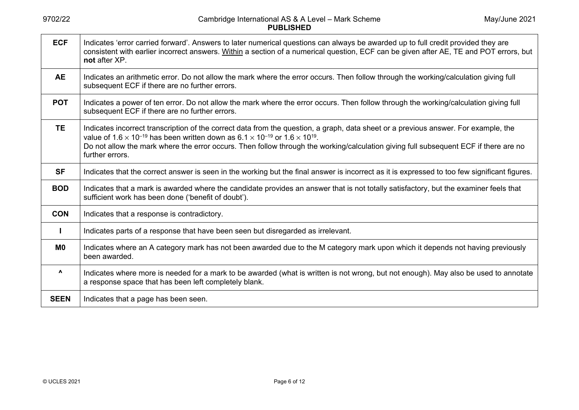| <b>ECF</b>             | Indicates 'error carried forward'. Answers to later numerical questions can always be awarded up to full credit provided they are<br>consistent with earlier incorrect answers. Within a section of a numerical question, ECF can be given after AE, TE and POT errors, but<br>not after XP.                                                                                                                                         |
|------------------------|--------------------------------------------------------------------------------------------------------------------------------------------------------------------------------------------------------------------------------------------------------------------------------------------------------------------------------------------------------------------------------------------------------------------------------------|
| <b>AE</b>              | Indicates an arithmetic error. Do not allow the mark where the error occurs. Then follow through the working/calculation giving full<br>subsequent ECF if there are no further errors.                                                                                                                                                                                                                                               |
| <b>POT</b>             | Indicates a power of ten error. Do not allow the mark where the error occurs. Then follow through the working/calculation giving full<br>subsequent ECF if there are no further errors.                                                                                                                                                                                                                                              |
| <b>TE</b>              | Indicates incorrect transcription of the correct data from the question, a graph, data sheet or a previous answer. For example, the<br>value of 1.6 $\times$ 10 <sup>-19</sup> has been written down as 6.1 $\times$ 10 <sup>-19</sup> or 1.6 $\times$ 10 <sup>19</sup> .<br>Do not allow the mark where the error occurs. Then follow through the working/calculation giving full subsequent ECF if there are no<br>further errors. |
| <b>SF</b>              | Indicates that the correct answer is seen in the working but the final answer is incorrect as it is expressed to too few significant figures.                                                                                                                                                                                                                                                                                        |
| <b>BOD</b>             | Indicates that a mark is awarded where the candidate provides an answer that is not totally satisfactory, but the examiner feels that<br>sufficient work has been done ('benefit of doubt').                                                                                                                                                                                                                                         |
| <b>CON</b>             | Indicates that a response is contradictory.                                                                                                                                                                                                                                                                                                                                                                                          |
|                        | Indicates parts of a response that have been seen but disregarded as irrelevant.                                                                                                                                                                                                                                                                                                                                                     |
| M0                     | Indicates where an A category mark has not been awarded due to the M category mark upon which it depends not having previously<br>been awarded.                                                                                                                                                                                                                                                                                      |
| $\boldsymbol{\Lambda}$ | Indicates where more is needed for a mark to be awarded (what is written is not wrong, but not enough). May also be used to annotate<br>a response space that has been left completely blank.                                                                                                                                                                                                                                        |
| <b>SEEN</b>            | Indicates that a page has been seen.                                                                                                                                                                                                                                                                                                                                                                                                 |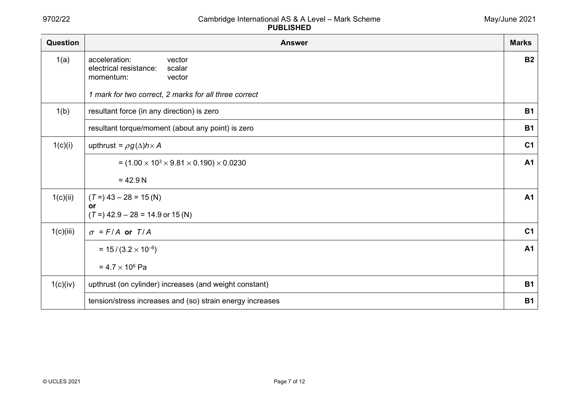| Question  | <b>Answer</b>                                                                      | <b>Marks</b>   |
|-----------|------------------------------------------------------------------------------------|----------------|
| 1(a)      | acceleration:<br>vector<br>electrical resistance:<br>scalar<br>momentum:<br>vector | <b>B2</b>      |
|           | 1 mark for two correct, 2 marks for all three correct                              |                |
| 1(b)      | resultant force (in any direction) is zero                                         | <b>B1</b>      |
|           | resultant torque/moment (about any point) is zero                                  | <b>B1</b>      |
| 1(c)(i)   | upthrust = $\rho g(\Delta) h \times A$                                             | C <sub>1</sub> |
|           | $=$ (1.00 $\times$ 10 <sup>3</sup> $\times$ 9.81 $\times$ 0.190) $\times$ 0.0230   | <b>A1</b>      |
|           | $= 42.9 N$                                                                         |                |
| 1(c)(ii)  | $(T=)$ 43 – 28 = 15 (N)<br>or                                                      | <b>A1</b>      |
|           | $(T=)$ 42.9 – 28 = 14.9 or 15 (N)                                                  |                |
| 1(c)(iii) | $\sigma$ = F/A or T/A                                                              | C <sub>1</sub> |
|           | $= 15 / (3.2 \times 10^{-6})$                                                      | <b>A1</b>      |
|           | $= 4.7 \times 10^6$ Pa                                                             |                |
| 1(c)(iv)  | upthrust (on cylinder) increases (and weight constant)                             | <b>B1</b>      |
|           | tension/stress increases and (so) strain energy increases                          | <b>B1</b>      |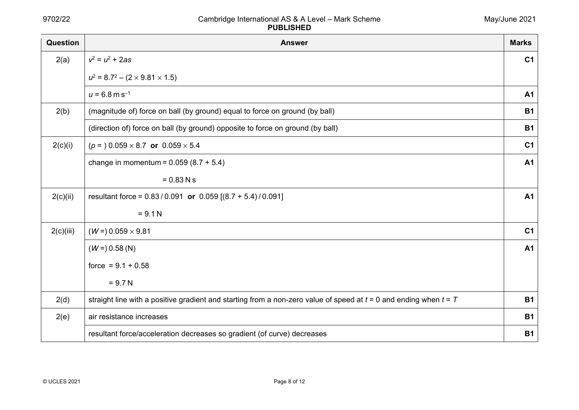| Question  | <b>Answer</b>                                                                                                         | <b>Marks</b>   |
|-----------|-----------------------------------------------------------------------------------------------------------------------|----------------|
| 2(a)      | $v^2 = u^2 + 2as$                                                                                                     | C <sub>1</sub> |
|           | $u^2 = 8.7^2 - (2 \times 9.81 \times 1.5)$                                                                            |                |
|           | $u = 6.8$ m s <sup>-1</sup>                                                                                           | A <sub>1</sub> |
| 2(b)      | (magnitude of) force on ball (by ground) equal to force on ground (by ball)                                           | <b>B1</b>      |
|           | (direction of) force on ball (by ground) opposite to force on ground (by ball)                                        | <b>B1</b>      |
| 2(c)(i)   | $(p = 0.059 \times 8.7$ or $0.059 \times 5.4$                                                                         | C <sub>1</sub> |
|           | change in momentum = $0.059(8.7 + 5.4)$                                                                               | A <sub>1</sub> |
|           | $= 0.83$ N s                                                                                                          |                |
| 2(c)(ii)  | resultant force = $0.83 / 0.091$ or $0.059$ [ $(8.7 + 5.4) / 0.091$ ]                                                 | <b>A1</b>      |
|           | $= 9.1 N$                                                                                                             |                |
| 2(c)(iii) | $(W = 0.059 \times 9.81)$                                                                                             | C <sub>1</sub> |
|           | $(W = 0.58$ (N)                                                                                                       | <b>A1</b>      |
|           | force = $9.1 + 0.58$                                                                                                  |                |
|           | $= 9.7 N$                                                                                                             |                |
| 2(d)      | straight line with a positive gradient and starting from a non-zero value of speed at $t = 0$ and ending when $t = T$ | <b>B1</b>      |
| 2(e)      | air resistance increases                                                                                              | <b>B1</b>      |
|           | resultant force/acceleration decreases so gradient (of curve) decreases                                               | <b>B1</b>      |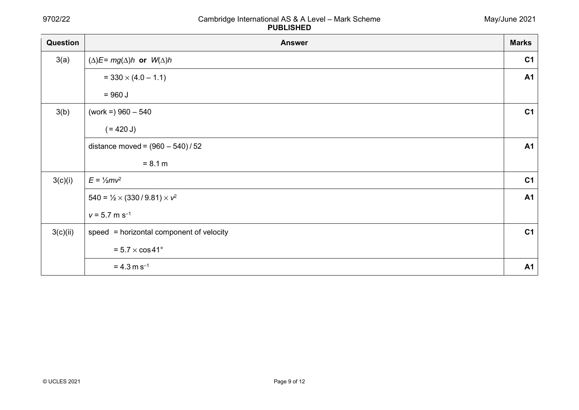| Question | <b>Answer</b>                                    | <b>Marks</b>   |
|----------|--------------------------------------------------|----------------|
| 3(a)     | $(\Delta)E = mg(\Delta)h$ or $W(\Delta)h$        | C <sub>1</sub> |
|          | $= 330 \times (4.0 - 1.1)$                       | <b>A1</b>      |
|          | $= 960 J$                                        |                |
| 3(b)     | (work =) $960 - 540$                             | C <sub>1</sub> |
|          | $(= 420 J)$                                      |                |
|          | distance moved = $(960 - 540)/52$                | A1             |
|          | $= 8.1 m$                                        |                |
| 3(c)(i)  | $E = \frac{1}{2}mv^2$                            | C <sub>1</sub> |
|          | $540 = \frac{1}{2} \times (330/9.81) \times v^2$ | <b>A1</b>      |
|          | $v = 5.7$ m s <sup>-1</sup>                      |                |
| 3(c)(ii) | speed = horizontal component of velocity         | C <sub>1</sub> |
|          | $= 5.7 \times \cos 41^{\circ}$                   |                |
|          | $= 4.3$ m s <sup>-1</sup>                        | <b>A1</b>      |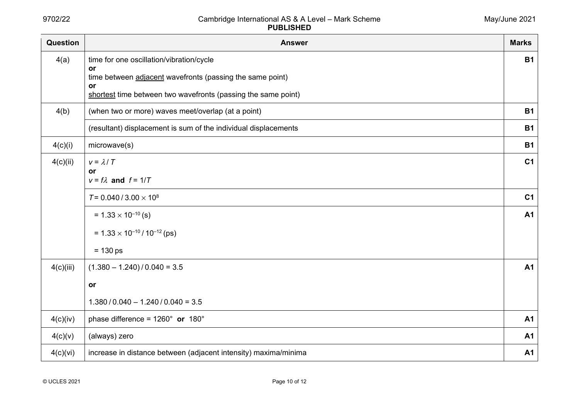| Question  | <b>Answer</b>                                                       | <b>Marks</b>   |
|-----------|---------------------------------------------------------------------|----------------|
| 4(a)      | time for one oscillation/vibration/cycle                            | <b>B1</b>      |
|           | or<br>time between adjacent wavefronts (passing the same point)     |                |
|           | or<br>shortest time between two wavefronts (passing the same point) |                |
| 4(b)      | (when two or more) waves meet/overlap (at a point)                  | <b>B1</b>      |
|           | (resultant) displacement is sum of the individual displacements     | <b>B1</b>      |
| 4(c)(i)   | microwave(s)                                                        | <b>B1</b>      |
| 4(c)(ii)  | $v = \lambda/T$                                                     | C <sub>1</sub> |
|           | or<br>$v = f\lambda$ and $f = 1/T$                                  |                |
|           | $T = 0.040 / 3.00 \times 10^8$                                      | C <sub>1</sub> |
|           | $= 1.33 \times 10^{-10}$ (s)                                        | <b>A1</b>      |
|           | $= 1.33 \times 10^{-10} / 10^{-12}$ (ps)                            |                |
|           | $= 130$ ps                                                          |                |
| 4(c)(iii) | $(1.380 - 1.240) / 0.040 = 3.5$                                     | <b>A1</b>      |
|           | or                                                                  |                |
|           | $1.380 / 0.040 - 1.240 / 0.040 = 3.5$                               |                |
| 4(c)(iv)  | phase difference = $1260^\circ$ or $180^\circ$                      | <b>A1</b>      |
| 4(c)(v)   | (always) zero                                                       | <b>A1</b>      |
| 4(c)(vi)  | increase in distance between (adjacent intensity) maxima/minima     | A <sub>1</sub> |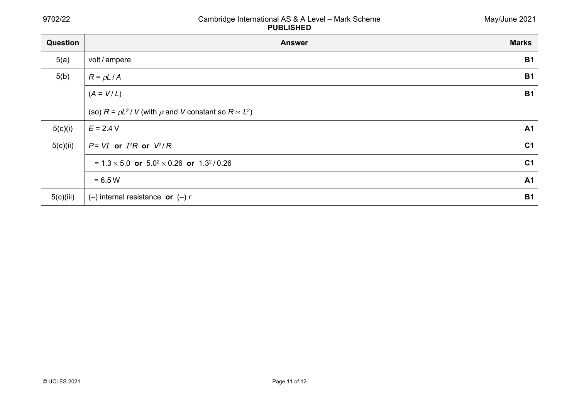| Question  | <b>Answer</b>                                                            | <b>Marks</b>   |
|-----------|--------------------------------------------------------------------------|----------------|
| 5(a)      | volt / ampere                                                            | <b>B1</b>      |
| 5(b)      | $R = \rho L / A$                                                         | <b>B1</b>      |
|           | $(A = V/L)$                                                              | <b>B1</b>      |
|           | (so) $R = \rho L^2 / V$ (with $\rho$ and V constant so $R \propto L^2$ ) |                |
| 5(c)(i)   | $E = 2.4 V$                                                              | <b>A1</b>      |
| 5(c)(ii)  | $P = VI$ or $I^2R$ or $V^2/R$                                            | C <sub>1</sub> |
|           | = $1.3 \times 5.0$ or $5.0^{2} \times 0.26$ or $1.3^{2}/0.26$            | C <sub>1</sub> |
|           | $= 6.5 W$                                                                | <b>A1</b>      |
| 5(c)(iii) | $(-)$ internal resistance or $(-)$ r                                     | <b>B1</b>      |